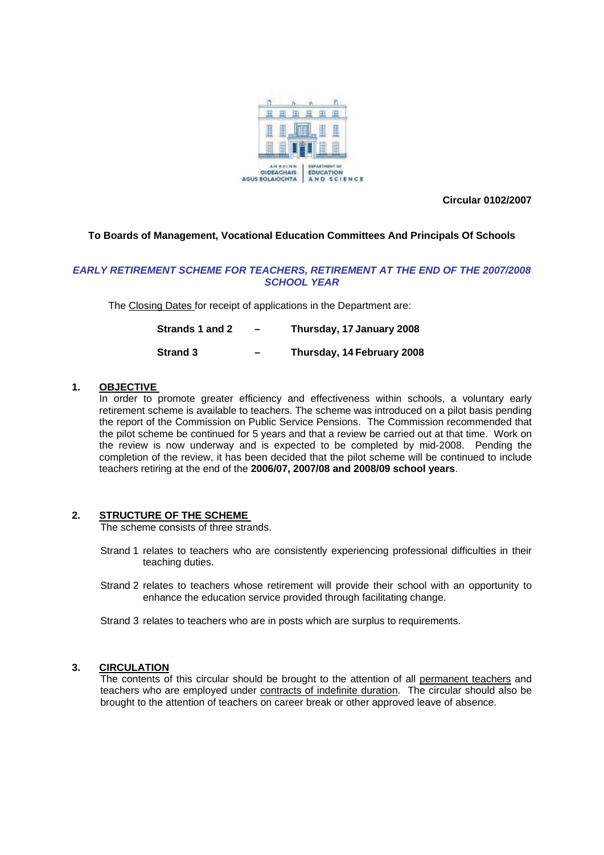

**Circular 0102/2007** 

# **To Boards of Management, Vocational Education Committees And Principals Of Schools**

# *EARLY RETIREMENT SCHEME FOR TEACHERS, RETIREMENT AT THE END OF THE 2007/2008 SCHOOL YEAR*

The Closing Dates for receipt of applications in the Department are:

| Strands 1 and 2 | - | Thursday, 17 January 2008  |
|-----------------|---|----------------------------|
| <b>Strand 3</b> | - | Thursday, 14 February 2008 |

#### **1. OBJECTIVE**

 In order to promote greater efficiency and effectiveness within schools, a voluntary early retirement scheme is available to teachers. The scheme was introduced on a pilot basis pending the report of the Commission on Public Service Pensions. The Commission recommended that the pilot scheme be continued for 5 years and that a review be carried out at that time. Work on the review is now underway and is expected to be completed by mid-2008. Pending the completion of the review, it has been decided that the pilot scheme will be continued to include teachers retiring at the end of the **2006/07, 2007/08 and 2008/09 school years**.

# **2. STRUCTURE OF THE SCHEME**

The scheme consists of three strands.

- Strand 1 relates to teachers who are consistently experiencing professional difficulties in their teaching duties.
- Strand 2 relates to teachers whose retirement will provide their school with an opportunity to enhance the education service provided through facilitating change.
- Strand 3 relates to teachers who are in posts which are surplus to requirements.

#### **3. CIRCULATION**

The contents of this circular should be brought to the attention of all permanent teachers and teachers who are employed under contracts of indefinite duration. The circular should also be brought to the attention of teachers on career break or other approved leave of absence.